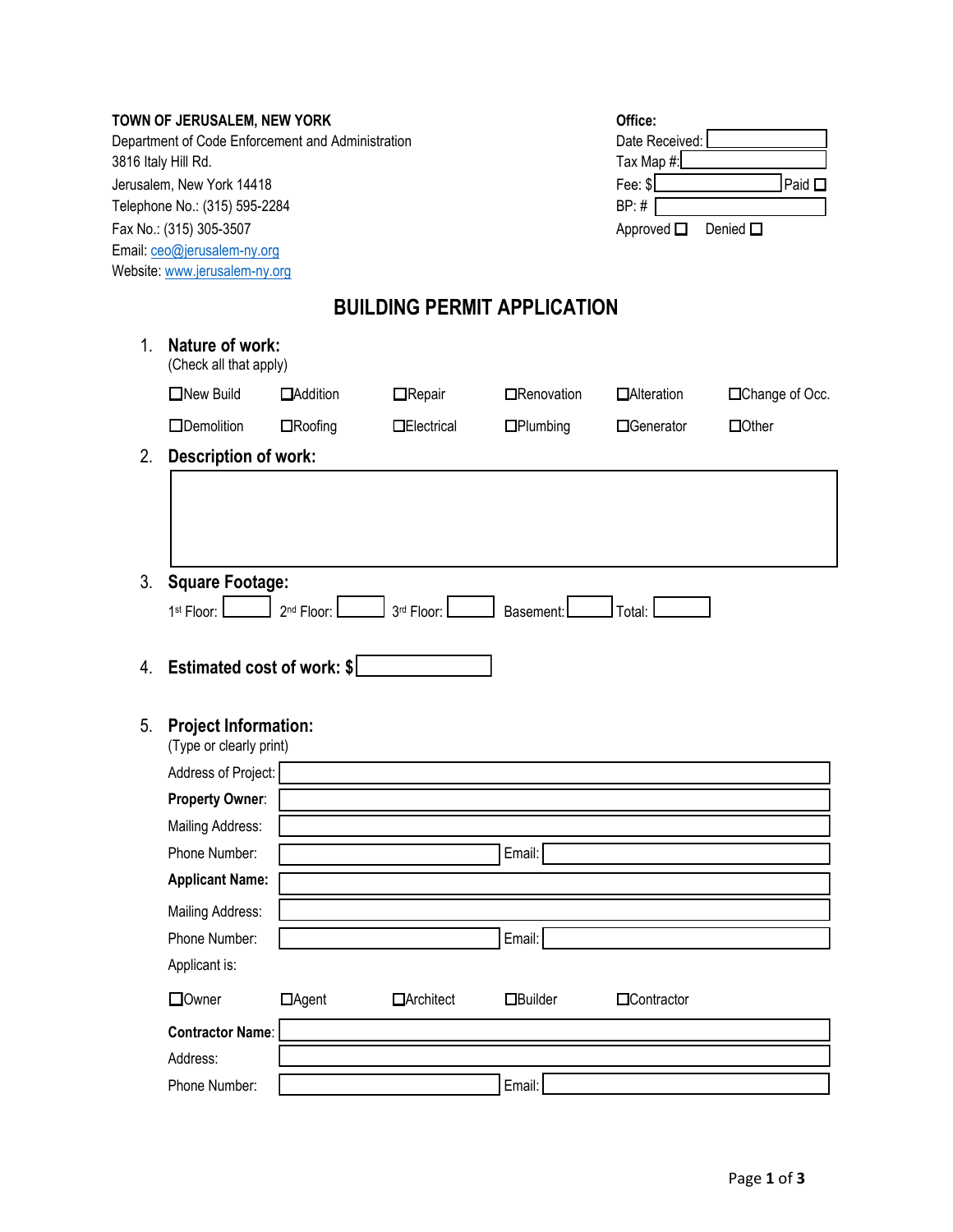|                               | TOWN OF JERUSALEM, NEW YORK                            |                                        |                    |                                    | Office:     |                 |  |  |  |
|-------------------------------|--------------------------------------------------------|----------------------------------------|--------------------|------------------------------------|-------------|-----------------|--|--|--|
|                               | Department of Code Enforcement and Administration      | Date Received:                         |                    |                                    |             |                 |  |  |  |
|                               | 3816 Italy Hill Rd.                                    |                                        | Tax Map #:         |                                    |             |                 |  |  |  |
|                               | Jerusalem, New York 14418                              | Fee: \$<br>Paid $\Box$                 |                    |                                    |             |                 |  |  |  |
| Telephone No.: (315) 595-2284 |                                                        |                                        |                    |                                    | BP: #       |                 |  |  |  |
|                               | Fax No.: (315) 305-3507                                | Approved $\square$<br>Denied $\square$ |                    |                                    |             |                 |  |  |  |
|                               | Email: ceo@jerusalem-ny.org                            |                                        |                    |                                    |             |                 |  |  |  |
|                               | Website: www.jerusalem-ny.org                          |                                        |                    |                                    |             |                 |  |  |  |
|                               |                                                        |                                        |                    | <b>BUILDING PERMIT APPLICATION</b> |             |                 |  |  |  |
| 1.                            | Nature of work:<br>(Check all that apply)              |                                        |                    |                                    |             |                 |  |  |  |
|                               | □New Build                                             | <b>DAddition</b>                       | $\Box$ Repair      | □Renovation                        | □Alteration | □Change of Occ. |  |  |  |
|                               | □Demolition                                            | $\Box$ Roofing                         | <b>IElectrical</b> | $\Box$ Plumbing                    | □Generator  | $\Box$ Other    |  |  |  |
| 2.                            | <b>Description of work:</b>                            |                                        |                    |                                    |             |                 |  |  |  |
|                               |                                                        |                                        |                    |                                    |             |                 |  |  |  |
|                               |                                                        |                                        |                    |                                    |             |                 |  |  |  |
|                               |                                                        |                                        |                    |                                    |             |                 |  |  |  |
|                               |                                                        |                                        |                    |                                    |             |                 |  |  |  |
| 3.                            | <b>Square Footage:</b>                                 |                                        |                    |                                    |             |                 |  |  |  |
|                               | 1st Floor:                                             | 2 <sup>nd</sup> Floor:                 | 3rd Floor:         | Basement:                          | Total:      |                 |  |  |  |
|                               |                                                        |                                        |                    |                                    |             |                 |  |  |  |
| 4.                            | Estimated cost of work: \$                             |                                        |                    |                                    |             |                 |  |  |  |
| 5.                            | <b>Project Information:</b><br>(Type or clearly print) |                                        |                    |                                    |             |                 |  |  |  |
|                               | Address of Project:                                    |                                        |                    |                                    |             |                 |  |  |  |
|                               | Property Owner:                                        |                                        |                    |                                    |             |                 |  |  |  |
|                               | Mailing Address:                                       |                                        |                    |                                    |             |                 |  |  |  |
|                               | Phone Number:                                          |                                        |                    | Email:                             |             |                 |  |  |  |
|                               | <b>Applicant Name:</b>                                 |                                        |                    |                                    |             |                 |  |  |  |
|                               | Mailing Address:                                       |                                        |                    |                                    |             |                 |  |  |  |
|                               | Phone Number:                                          |                                        |                    | Email:                             |             |                 |  |  |  |
|                               | Applicant is:                                          |                                        |                    |                                    |             |                 |  |  |  |
|                               | □Owner                                                 | □Agent                                 | <b>O</b> Architect | <b>OBuilder</b>                    | □Contractor |                 |  |  |  |
|                               | <b>Contractor Name:</b>                                |                                        |                    |                                    |             |                 |  |  |  |
|                               | Address:                                               |                                        |                    |                                    |             |                 |  |  |  |
|                               | Phone Number:                                          |                                        |                    | Email:                             |             |                 |  |  |  |
|                               |                                                        |                                        |                    |                                    |             |                 |  |  |  |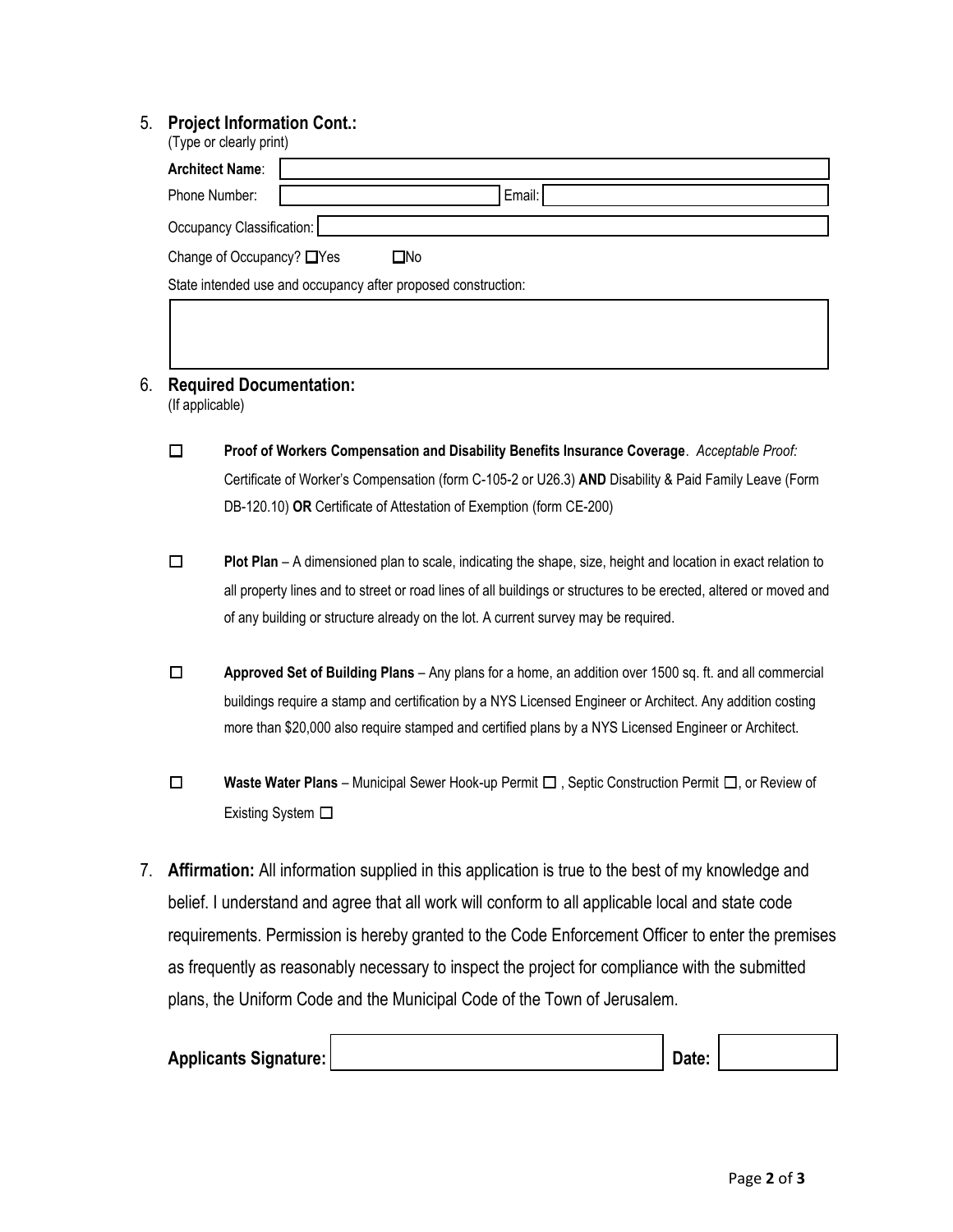## 5. **Project Information Cont.:**

| (Type or clearly print)                                       |        |  |  |  |  |  |  |
|---------------------------------------------------------------|--------|--|--|--|--|--|--|
| <b>Architect Name:</b>                                        |        |  |  |  |  |  |  |
| Phone Number:                                                 | Email: |  |  |  |  |  |  |
| Occupancy Classification:                                     |        |  |  |  |  |  |  |
| Change of Occupancy? □ Yes<br>□No                             |        |  |  |  |  |  |  |
| State intended use and occupancy after proposed construction: |        |  |  |  |  |  |  |
|                                                               |        |  |  |  |  |  |  |

- 6. **Required Documentation:** (If applicable)
	- ☐ **Proof of Workers Compensation and Disability Benefits Insurance Coverage**. *Acceptable Proof:* Certificate of Worker's Compensation (form C-105-2 or U26.3) **AND** Disability & Paid Family Leave (Form DB-120.10) **OR** Certificate of Attestation of Exemption (form CE-200)
	- ☐ **Plot Plan**  A dimensioned plan to scale, indicating the shape, size, height and location in exact relation to all property lines and to street or road lines of all buildings or structures to be erected, altered or moved and of any building or structure already on the lot. A current survey may be required.
	- ☐ **Approved Set of Building Plans**  Any plans for a home, an addition over 1500 sq. ft. and all commercial buildings require a stamp and certification by a NYS Licensed Engineer or Architect. Any addition costing more than \$20,000 also require stamped and certified plans by a NYS Licensed Engineer or Architect.
	- ☐ **Waste Water Plans**  Municipal Sewer Hook-up Permit ☐ , Septic Construction Permit ☐, or Review of Existing System □
- 7. **Affirmation:** All information supplied in this application is true to the best of my knowledge and belief. I understand and agree that all work will conform to all applicable local and state code requirements. Permission is hereby granted to the Code Enforcement Officer to enter the premises as frequently as reasonably necessary to inspect the project for compliance with the submitted plans, the Uniform Code and the Municipal Code of the Town of Jerusalem.

| Applicants Signature: | Date: |  |
|-----------------------|-------|--|
|                       |       |  |